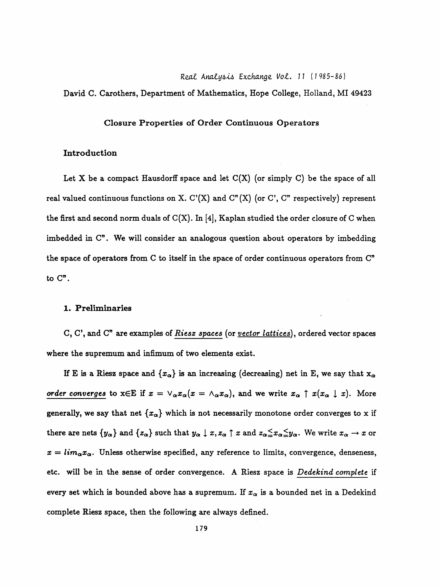#### Real Analysis Exchange Vol. 11 (1985-86)

David C. Carothers, Department of Mathematics, Hope College, Holland, MI 49423

#### **Closure Properties of Order Continuous Operators**

# Introduction

Let X be a compact Hausdorff space and let  $C(X)$  (or simply C) be the space of all real valued continuous functions on X. C'(X) and C"(X) (or C', C" respectively) represent the first and second norm duals of  $C(X)$ . In [4], Kaplan studied the order closure of C when imbedded in C". We will consider an analogous question about operators by imbedding the space of operators from C to itself in the space of order continuous operators from C" to C".

### 1. Preliminaries

C, C', and C" are examples of Riesz spaces (or vector lattices), ordered vector spaces where the supremum and infimum of two elements exist.

If E is a Riesz space and  $\{x_{\alpha}\}\$ is an increasing (decreasing) net in E, we say that  $x_{\alpha}$ order converges to  $x \in E$  if  $x = \vee_{\alpha} x_{\alpha}(x = \wedge_{\alpha} x_{\alpha})$ , and we write  $x_{\alpha} \uparrow x(x_{\alpha} \downarrow x)$ . More generally, we say that net  $\{x_{\alpha}\}\$  which is not necessarily monotone order converges to x if there are nets  $\{y_\alpha\}$  and  $\{z_\alpha\}$  such that  $y_\alpha \downarrow x, z_\alpha \uparrow x$  and  $z_\alpha \leq x_\alpha \leq y_\alpha$ . We write  $x_\alpha \to x$  or  $x = lim_{\alpha} x_{\alpha}$ . Unless otherwise specified, any reference to limits, convergence, denseness, etc. will be in the sense of order convergence. A Riesz space is Dedekind complete if every set which is bounded above has a supremum. If  $x_{\alpha}$  is a bounded net in a Dedekind complete Riesz space, then the following are always defined.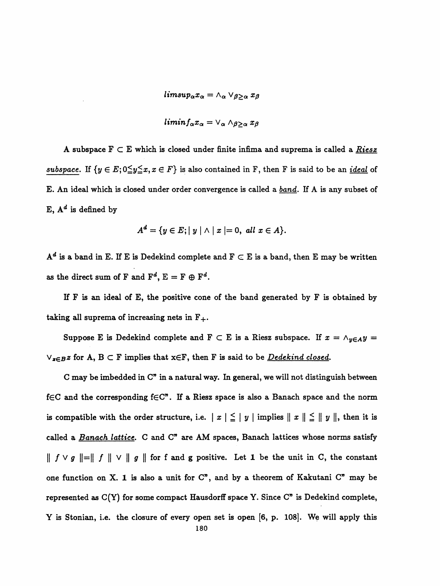$lim sup_{\alpha} x_{\alpha} = \wedge_{\alpha} \vee_{\beta > \alpha} x_{\beta}$ 

$$
limit_{\alpha} x_{\alpha} = \vee_{\alpha} \wedge_{\beta \geq \alpha} x_{\beta}
$$

A subspace  $F \subset E$  which is closed under finite infima and suprema is called a Riesz subspace. If  $\{y \in E; 0 \leq y \leq x, x \in F\}$  is also contained in F, then F is said to be an <u>ideal</u> of E. An ideal which is closed under order convergence is called a band. If A is any subset of E,  $A^d$  is defined by

$$
A^d = \{ y \in E; |y| \wedge |x| = 0, \ all \ x \in A \}.
$$

 $\mathbf{A}^d$  is a band in E. If E is Dedekind complete and  $\mathbf{F} \subset \mathbf{E}$  is a band, then E may be written as the direct sum of F and  $F^d$ ,  $E = F \oplus F^d$ .

 If F is an ideal of E, the positive cone of the band generated by F is obtained by taking all suprema of increasing nets in  $F_+$ .

Suppose E is Dedekind complete and F  $\subset$  E is a Riesz subspace. If  $x = \wedge_{y \in A} y =$  $\vee_{\mathbf{x} \in B} \mathbf{z}$  for A,  $B \subset F$  implies that  $\mathbf{x} \in F$ , then F is said to be *Dedekind closed*.

 C may be imbedded in C" in a natural way. In general, we will not distinguish between f $\in$ C and the corresponding f $\in$ C". If a Riesz space is also a Banach space and the norm is compatible with the order structure, i.e.  $|x| \leq |y|$  implies  $||x|| \leq ||y||$ , then it is called a Banach lattice. C and C" are AM spaces, Banach lattices whose norms satisfy  $\parallel f \vee g \parallel = \parallel f \parallel \vee \parallel g \parallel$  for f and g positive. Let 1 be the unit in C, the constant one function on X. 1 is also a unit for  $C<sup>n</sup>$ , and by a theorem of Kakutani  $C<sup>n</sup>$  may be represented as  $C(Y)$  for some compact Hausdorff space Y. Since  $C<sup>n</sup>$  is Dedekind complete, Y is Stonian, i.e. the closure of every open set is open [6, p. 108]. We will apply this 180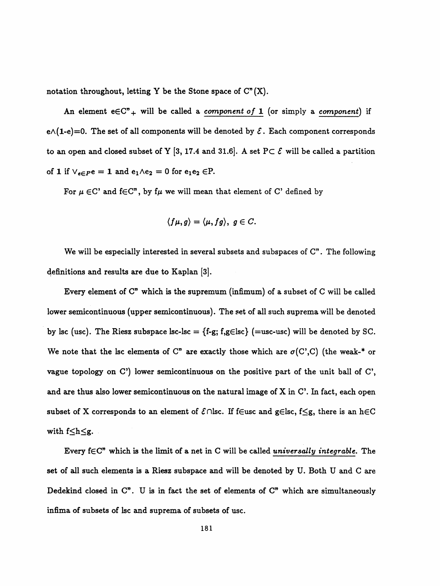notation throughout, letting Y be the Stone space of  $C<sup>n</sup>(X)$ .

An element  $e \in \mathbb{C}^n$  will be called a *component of* 1 (or simply a *component*) if  $e \wedge (1-e)=0$ . The set of all components will be denoted by  $\mathcal{E}$ . Each component corresponds to an open and closed subset of Y [3, 17.4 and 31.6]. A set PC  $\mathcal E$  will be called a partition of 1 if  $\vee_{e \in P} e = 1$  and  $e_1 \wedge e_2 = 0$  for  $e_1 e_2 \in P$ .

For  $\mu \in \mathbb{C}^n$  and  $f \in \mathbb{C}^n$ , by f $\mu$  we will mean that element of C' defined by

$$
\langle f\mu,g\rangle=\langle\mu,fg\rangle,\;g\in C.
$$

We will be especially interested in several subsets and subspaces of C". The following definitions and results are due to Kaplan [3].

 Every element of C" which is the supremum (infimum) of a subset of C will be called lower semicontinuous (upper semicontinuous). The set of all such suprema will be denoted by lsc (usc). The Riesz subspace lsc-lsc =  $\{f-g; f,g \in \text{lsc}\}$  (=usc-usc) will be denoted by SC. We note that the lsc elements of C" are exactly those which are  $\sigma(C',C)$  (the weak-\* or vague topology on C') lower semicontinuous on the positive part of the unit ball of C', and are thus also lower semicontinuous on the natural image of X in C'. In fact, each open subset of X corresponds to an element of  $\mathcal{E} \cap \mathsf{lsc}$ . If f $\in$ usc and g $\in$ lsc, f $\leq$ g, there is an h $\in$ C with  $f\leq h\leq g$ .

Every  $f \in C$ " which is the limit of a net in C will be called universally integrable. The set of all such elements is a Riesz subspace and will be denoted by U. Both U and C are Dedekind closed in C". U is in fact the set of elements of C" which are simultaneously infima of subsets of lsc and suprema of subsets of use.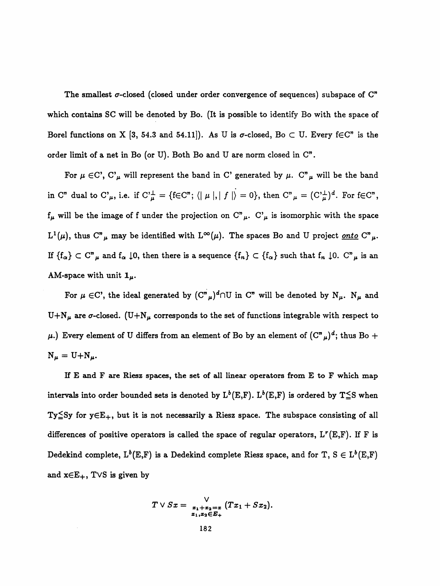The smallest  $\sigma$ -closed (closed under order convergence of sequences) subspace of  $\mathbb{C}^n$  which contains SC will be denoted by Bo. (It is possible to identify Bo with the space of Borel functions on X [3, 54.3 and 54.11]). As U is  $\sigma$ -closed, Bo C U. Every f $\in\mathbb{C}^n$  is the order limit of a net in Bo (or U). Both Bo and U are norm closed in C".

For  $\mu \in C'$ ,  $C^{\prime}_{\mu}$  will represent the band in C' generated by  $\mu$ . C" $_{\mu}$  will be the band in C" dual to C' $_{\mu}$ , i.e. if C' $_{\mu}^{\perp} = \{f \in C^{\prime\prime}; \langle | \mu |, | f | \rangle = 0\}$ , then  $C^{\prime\prime}{}_{\mu} = (C^{\prime}{}_{\mu}^{\perp})^d$ . For  $f \in C^{\prime\prime}$ ,  $f_{\mu}$  will be the image of f under the projection on  $C_{\mu}$ .  $C_{\mu}$  is isomorphic with the space  $L^1(\mu)$ , thus C" $\mu$  may be identified with  $L^{\infty}(\mu)$ . The spaces Bo and U project <u>onto</u> C" $\mu$ . If  ${f_\alpha} \subset C^n$  and  $f_\alpha \downarrow 0$ , then there is a sequence  ${f_n} \subset {f_\alpha}$  such that  $f_n \downarrow 0$ .  $C^n$  is an AM-space with unit  $1_\mu$ .

For  $\mu \in C'$ , the ideal generated by  $(C''_{\mu})^d \cap U$  in  $C''$  will be denoted by  $N_{\mu}$ .  $N_{\mu}$  and U+N<sub>µ</sub> are  $\sigma$ -closed. (U+N<sub>µ</sub> corresponds to the set of functions integrable with respect to  $\mu$ .) Every element of U differs from an element of Bo by an element of  $(C<sup>n</sup><sub>\mu</sub>)<sup>d</sup>$ ; thus Bo +  $N_{\mu} = U + N_{\mu}.$ 

 If E and F are Riesz spaces, the set of all linear operators from E to F which map intervals into order bounded sets is denoted by  $L^b(E,F)$ .  $L^b(E,F)$  is ordered by  $T \leq S$  when Ty $\leq$ Sy for y $\in$ E<sub>+</sub>, but it is not necessarily a Riesz space. The subspace consisting of all differences of positive operators is called the space of regular operators,  $L^r(E,F)$ . If F is Dedekind complete,  $L^b(E, F)$  is a Dedekind complete Riesz space, and for T,  $S \in L^b(E, F)$ and  $x \in E_+$ , T $\vee$ S is given by

$$
T \vee Sx = \frac{\vee}{x_1 + x_2 = x} (Tx_1 + Sx_2).
$$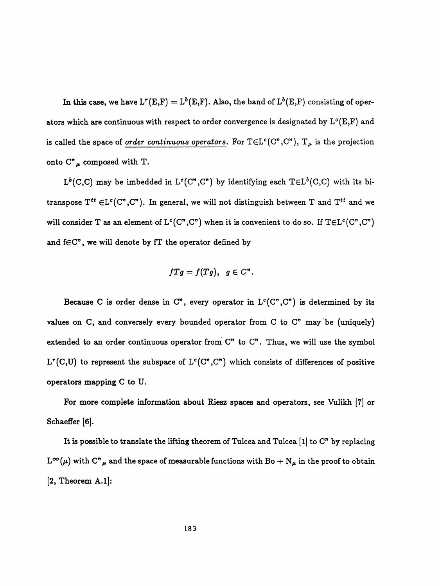In this case, we have  $L^r(E, F) = L^b(E, F)$ . Also, the band of  $L^b(E, F)$  consisting of operators which are continuous with respect to order convergence is designated by  $L^c(E,F)$  and is called the space of order continuous operators. For  $T \in L^c(C^*, C^*)$ ,  $T_\mu$  is the projection onto  $C_{\mu}^{\prime}$  composed with T.

 $L^b(C,C)$  may be imbedded in  $L^c(C'',C'')$  by identifying each  $T \in L^b(C,C)$  with its bitranspose  $T^{tt} \in L^c(C'', C'')$ . In general, we will not distinguish between T and  $T^{tt}$  and we will consider T as an element of  $L^c(C'', C'')$  when it is convenient to do so. If  $T \in L^c(C'', C'')$ and  $f \in C$ ", we will denote by  $fT$  the operator defined by

$$
fTg=f(Tg), g\in C^n.
$$

Because C is order dense in C", every operator in  $L^c(C'', C'')$  is determined by its values on C, and conversely every bounded operator from C to  $C$ " may be (uniquely) extended to an order continuous operator from  $C<sup>n</sup>$  to  $C<sup>n</sup>$ . Thus, we will use the symbol L<sup>r</sup>(C,U) to represent the subspace of L<sup>c</sup>(C<sup>n</sup>,C<sup>n</sup>) which consists of differences of positive operators mapping C to U.

 For more complete information about Riesz spaces and operators, see Vulikh [7] or Schaeffer [6].

 It is possible to translate the lifting theorem of Tulcea and Tulcea [l] to C" by replacing  $L^{\infty}(\mu)$  with  $C^{n}{}_{\mu}$  and the space of measurable functions with Bo +  $N_{\mu}$  in the proof to obtain [2, Theorem A.l]: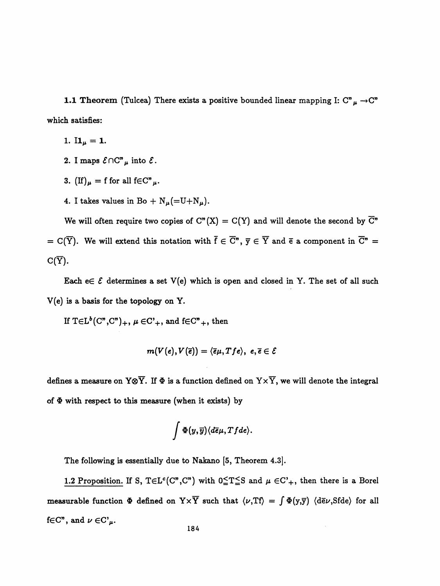1.1 Theorem (Tulcea) There exists a positive bounded linear mapping I:  $C_{\mu}^{\nu} \rightarrow C_{\mu}^{\nu}$ which satisfies:

- 1.  $I1_{\mu} = 1$ .
- 2. I maps  $\mathcal{E} \cap C^n \mu$  into  $\mathcal{E}$ .
- 3. (If)  $\mu = f$  for all  $f \in C^n \mu$ .
- 4. I takes values in Bo +  $N_{\mu}$ (=U+ $N_{\mu}$ ).

We will often require two copies of  $C<sup>n</sup>(X) = C(Y)$  and will denote the second by  $\overline{C}<sup>n</sup>$ = C( $\overline{Y}$ ). We will extend this notation with  $\overline{f} \in \overline{C}$ ",  $\overline{y} \in \overline{Y}$  and  $\overline{e}$  a component in  $\overline{C}$ " =  $C(\overline{Y})$ .

Each  $e \in \mathcal{E}$  determines a set V(e) which is open and closed in Y. The set of all such V(e) is a basis for the topology on Y.

If  $T \in L^b(C^n, C^n)_+$ ,  $\mu \in C^1_+$ , and  $f \in C^n_+$ , then

$$
m(V(e),V(\overline{e})) = \langle \overline{e}\mu, Tfe \rangle, \ e, \overline{e} \in \mathcal{E}
$$

defines a measure on Y $\otimes \overline{Y}$ . If  $\Phi$  is a function defined on  $Y \times \overline{Y}$ , we will denote the integral of  $\Phi$  with respect to this measure (when it exists) by

$$
\int \Phi(y,\overline{y})\langle d\overline{e}\mu,Tfde\rangle.
$$

The following is essentially due to Nakano [5, Theorem 4.3].

1.2 Proposition. If S,  $T \in L^c(C'', C'')$  with  $0 \le T \le S$  and  $\mu \in C'_{+}$ , then there is a Borel measurable function  $\Phi$  defined on  $Y \times \overline{Y}$  such that  $\langle \nu, Tf \rangle = \int \Phi(y, \overline{y})$   $\langle d\overline{e} \nu, Sfde \rangle$  for all f $\in$ C", and  $\nu \in$ C'<sub> $\mu$ </sub>.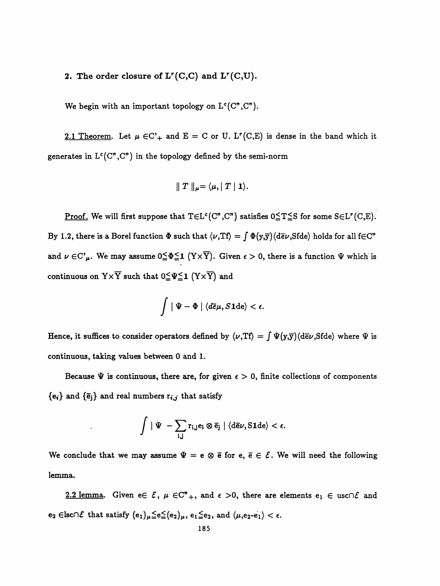# 2. The order closure of  $L^r(C, C)$  and  $L^r(C, U)$ .

We begin with an important topology on  $L^c(C^n, C^n)$ .

2.1 Theorem. Let  $\mu \in C^*$  and  $E = C$  or U. L<sup>r</sup>(C,E) is dense in the band which it generates in  $L^c(C'', C'')$  in the topology defined by the semi-norm

$$
\parallel T \parallel_{\mu} = \langle \mu, T \mid \mathbf{1} \rangle.
$$

Proof. We will first suppose that  $T \in L^c(C^n, C^n)$  satisfies  $0 \le T \le S$  for some  $S \in L^r(C, E)$ . By 1.2, there is a Borel function  $\Phi$  such that  $\langle \nu, Tf \rangle = \int \Phi(y, \overline{y}) \langle d\overline{e} \nu, Sfde \rangle$  holds for all f $\in \mathbb{C}^n$ and  $\nu \in C^{\prime}{}_{\mu}$ . We may assume  $0 \leq \Phi \leq 1$  (Y  $\times \overline{Y}$ ). Given  $\epsilon > 0$ , there is a function  $\Psi$  which is continuous on  $Y \times \overline{Y}$  such that  $0 \leqq \Psi \leqq 1$   $(Y \times \overline{Y})$  and

$$
\int \mid \Psi - \Phi \mid \langle d\overline{e}\mu, S \mathbf{1}\mathrm{d}\mathbf{e}\rangle < \epsilon.
$$

Hence, it suffices to consider operators defined by  $\langle \nu, Tf \rangle = \int \Psi(y, \overline{y}) \langle d\overline{e} \nu, Sfde \rangle$  where  $\Psi$  is continuous, taking values between 0 and 1.

Because  $\Psi$  is continuous, there are, for given  $\epsilon > 0$ , finite collections of components  ${e_i}$  and  ${\bar{e}_j}$  and real numbers  $r_{i,j}$  that satisfy

$$
\int \mid \Psi \mid -\sum_{i,j} r_{i,j} e_i \otimes \overline{e}_j \mid \langle d\overline{e}\nu, \text{S1de}\rangle < \epsilon.
$$

We conclude that we may assume  $\Psi = e \otimes \bar{e}$  for  $e, \bar{e} \in \mathcal{E}$ . We will need the following lemma.

2.2 lemma. Given  $e \in \mathcal{E}$ ,  $\mu \in \mathbb{C}^n_+$ , and  $\epsilon > 0$ , there are elements  $e_1 \in \text{usc} \cap \mathcal{E}$  and  $e_2 \in \text{lsc} \cap \mathcal{E}$  that satisfy  $(e_1)_{\mu} \leqq e \leqq (e_2)_{\mu}$ ,  $e_1 \leqq e_2$ , and  $\langle \mu, e_2-e_1 \rangle < \epsilon$ .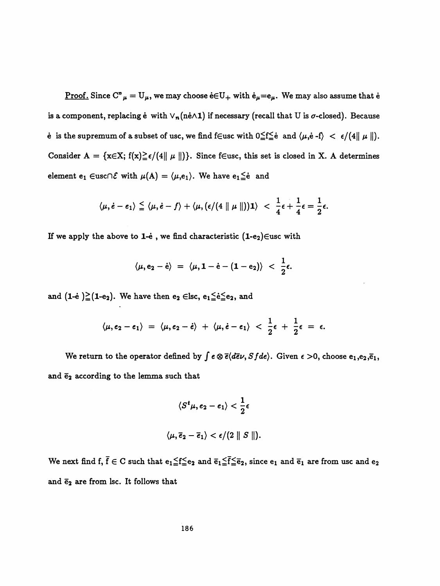<u>Proof.</u> Since  $C^{\prime\prime}{}_{\mu} = U_{\mu}$ , we may choose  $\dot{e} \in U_{+}$  with  $\dot{e}_{\mu} = e_{\mu}$ . We may also assume that  $\dot{e}$ is a component, replacing  $\dot{e}$  with  $\vee_n(n\dot{e}\wedge 1)$  if necessary (recall that U is  $\sigma$ -closed). Because e is the supremum of a subset of usc, we find feusc with  $0 \le f \le e$  and  $\langle \mu, e - f \rangle < \epsilon/(4 \|\mu\|)$ . Consider A = { $x \in X$ ;  $f(x) \ge \epsilon/(4 || \mu ||)$ }. Since f $\in$ usc, this set is closed in X. A determines element  $e_1 \in \text{usc} \cap \mathcal{E}$  with  $\mu(A) = \langle \mu, e_1 \rangle$ . We have  $e_1 \leq e$  and

$$
\langle \mu, \dot{e}-e_1\rangle \leq \langle \mu, \dot{e}-f\rangle + \langle \mu, (\epsilon/(4 \parallel \mu \parallel)) \mathbf{1}\rangle < \frac{1}{4}\epsilon + \frac{1}{4}\epsilon = \frac{1}{2}\epsilon.
$$

If we apply the above to 1-e , we find characteristic  $(1-e_2)$   $\in$ usc with

$$
\langle \mu, e_2 - \dot{e} \rangle = \langle \mu, 1 - \dot{e} - (1 - e_2) \rangle < \frac{1}{2} \epsilon.
$$

and  $(1-e) \ge (1-e_2)$ . We have then  $e_2 \in \text{lsc}, e_1 \le e \le e_2$ , and

$$
\langle \mu, e_2-e_1\rangle = \langle \mu, e_2-\dot{e}\rangle + \langle \mu, \dot{e}-e_1\rangle < \frac{1}{2}\epsilon + \frac{1}{2}\epsilon = \epsilon.
$$

We return to the operator defined by  $\int e \otimes \overline{e} \langle d\overline{e}\nu, S f d e \rangle$ . Given  $\epsilon > 0$ , choose  $e_1, e_2, \overline{e}_1$ , and  $\bar{e}_2$  according to the lemma such that

$$
\langle S^t\mu, e_2 - e_1\rangle < \frac{1}{2}\epsilon
$$
  

$$
\langle \mu, \overline{e}_2 - \overline{e}_1\rangle < \epsilon/(2 \parallel S\parallel).
$$

We next find f,  $\bar{f} \in C$  such that  $e_1 \leqq f \leqq e_2$  and  $\bar{e}_1 \leqq \bar{f} \leqq \bar{e}_2$ , since  $e_1$  and  $\bar{e}_1$  are from usc and  $e_2$ and  $\bar{e}_2$  are from lsc. It follows that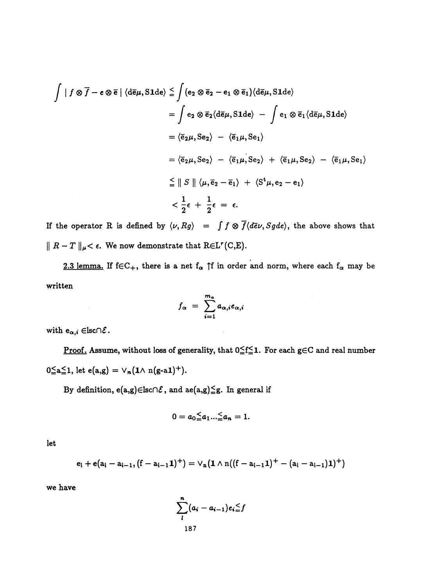$$
\int |f \otimes \overline{f} - e \otimes \overline{e}| \langle d\overline{e}\mu, \text{S1de}\rangle \leq \int (e_2 \otimes \overline{e}_2 - e_1 \otimes \overline{e}_1) \langle d\overline{e}\mu, \text{S1de}\rangle
$$
  
\n
$$
= \int e_2 \otimes \overline{e}_2 \langle d\overline{e}\mu, \text{S1de}\rangle - \int e_1 \otimes \overline{e}_1 \langle d\overline{e}\mu, \text{S1de}\rangle
$$
  
\n
$$
= \langle \overline{e}_2\mu, \text{Se}_2 \rangle - \langle \overline{e}_1\mu, \text{Se}_1 \rangle
$$
  
\n
$$
= \langle \overline{e}_2\mu, \text{Se}_2 \rangle - \langle \overline{e}_1\mu, \text{Se}_2 \rangle + \langle \overline{e}_1\mu, \text{Se}_2 \rangle - \langle \overline{e}_1\mu, \text{Se}_1 \rangle
$$
  
\n
$$
\leq || S || \langle \mu, \overline{e}_2 - \overline{e}_1 \rangle + \langle \text{S}^t \mu, e_2 - e_1 \rangle
$$
  
\n
$$
< \frac{1}{2} \epsilon + \frac{1}{2} \epsilon = \epsilon.
$$

If the operator R is defined by  $\langle \nu, Rg \rangle = \int f \otimes \overline{f} \langle d\overline{e} \nu, Sgde \rangle$ , the above shows that  $|| R - T ||_{\mu} < \epsilon$ . We now demonstrate that REL<sup>r</sup>(C,E).

2.3 lemma. If  $f \in C_+$ , there is a net  $f_\alpha$  f in order and norm, where each  $f_\alpha$  may be written

$$
f_{\alpha} = \sum_{i=1}^{m_{\alpha}} a_{\alpha,i} e_{\alpha,i}
$$

 $\sim$ 

with  $e_{\alpha,i} \in \text{lsc} \cap \mathcal{E}$ .

 $\mathcal{A}^{\mathcal{A}}$ 

<u>Proof.</u> Assume, without loss of generality, that  $0 \leq f \leq 1$ . For each  $g \in C$  and real number  $0 \le a \le 1$ , let  $e(a,g) = \vee_n (1 \wedge n(g-a1)^+)$ .

By definition,  $e(a,g) \in \text{lsc} \cap \mathcal{E}$ , and  $ae(a,g) \leqq g$ . In general if

$$
0=a_0\leq a_1...\leq a_n=1.
$$

let

$$
e_i + e(a_i - a_{i-1}, (f - a_{i-1}1)^+) = \vee_n (1 \wedge n((f - a_{i-1}1)^+ - (a_i - a_{i-1})1)^+)
$$

we have

$$
\sum_{i}^{n} (a_i - a_{i-1}) e_i \leq f
$$
  
187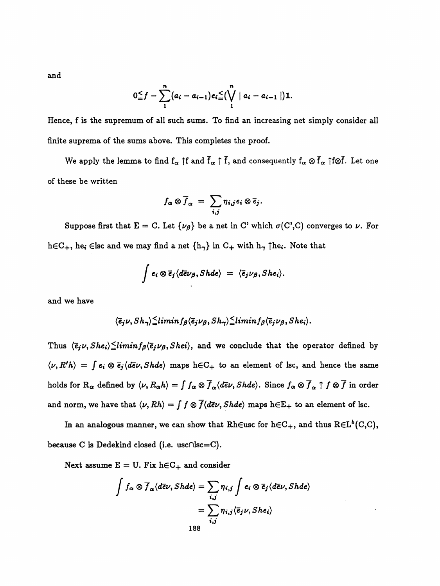and

$$
0 \leq f - \sum_{i=1}^{n} (a_i - a_{i-1}) e_i \leq {n \choose i} |a_i - a_{i-1}| \bigg) 1.
$$

Hence, f is the supremum of all such sums. To find an increasing net simply consider all finite suprema of the sums above. This completes the proof.

We apply the lemma to find  $f_{\alpha}$  | f and  $\bar{f}_{\alpha}$  |  $\bar{f}$ , and consequently  $f_{\alpha} \otimes \bar{f}_{\alpha}$  | f $\otimes \bar{f}$ . Let one of these be written

$$
f_{\alpha} \otimes \overline{f}_{\alpha} = \sum_{i,j} \eta_{i,j} e_i \otimes \overline{e}_j.
$$

Suppose first that  $E = C$ . Let  $\{\nu_{\beta}\}\$ be a net in C' which  $\sigma(C',C)$  converges to  $\nu$ . For  $h \in C_+$ , he<sub>i</sub> Elsc and we may find a net  $\{h_\gamma\}$  in  $C_+$  with  $h_\gamma$   $\uparrow$  he<sub>i</sub>. Note that

$$
\int e_i \otimes \overline{e}_j \langle d\overline{e} \nu_\beta, Shde \rangle = \langle \overline{e}_j \nu_\beta, She_i \rangle.
$$

and we have

$$
\langle \overline{e}_j \nu, Sh_{\gamma} \rangle \leqq limin f_{\beta} \langle \overline{e}_j \nu_{\beta}, Sh_{\gamma} \rangle \leqq limin f_{\beta} \langle \overline{e}_j \nu_{\beta}, She_i \rangle.
$$

Thus  $\langle \bar{e}_j \nu, She_i \rangle \leq limin f_\beta \langle \bar{e}_j \nu_\beta, Shei \rangle$ , and we conclude that the operator defined by  $\langle \nu, R'h \rangle = \int e_i \otimes \overline{e}_j \langle d\overline{e}\nu, Shde \rangle$  maps h $\in$ C<sub>+</sub> to an element of lsc, and hence the same holds for  $R_{\alpha}$  defined by  $\langle \nu, R_{\alpha}h \rangle = \int f_{\alpha} \otimes \overline{f}_{\alpha} \langle d\overline{e} \nu, Shde \rangle$ . Since  $f_{\alpha} \otimes \overline{f}_{\alpha} \uparrow f \otimes \overline{f}$  in order and norm, we have that  $\langle \nu, Rh \rangle = \int f \otimes \overline{f} \langle d\overline{e}\nu, Shde \rangle$  maps  $h \in E_+$  to an element of lsc.

In an analogous manner, we can show that Rh $\infty$ usc for  $h \in C_+$ , and thus  $R \in L^b(C, C)$ , because C is Dedekind closed (i.e. usc∩lsc=C).

Next assume  $E = U$ . Fix  $h \in C_+$  and consider

$$
\int f_{\alpha} \otimes \overline{f}_{\alpha} \langle d\overline{e} \nu, Shde \rangle = \sum_{i,j} \eta_{i,j} \int e_{i} \otimes \overline{e}_{j} \langle d\overline{e} \nu, Shde \rangle
$$

$$
= \sum_{i,j} \eta_{i,j} \langle \overline{e}_{j} \nu, She_{i} \rangle
$$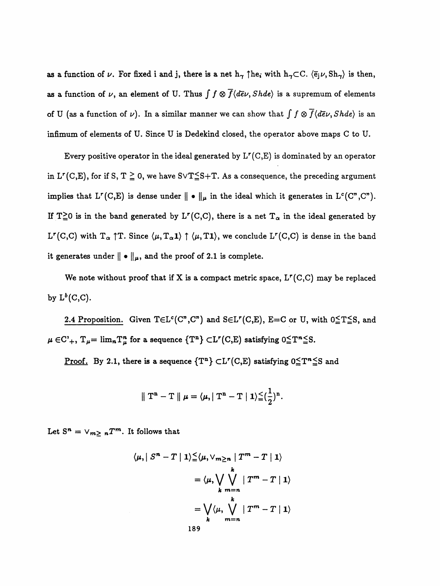as a function of  $\nu$ . For fixed i and j, there is a net  $h_{\gamma} \uparrow h e_i$  with  $h_{\gamma} \subset C$ .  $\langle \bar{e}_j \nu, Sh_{\gamma} \rangle$  is then, as a function of  $\nu$ , an element of U. Thus  $\int \int \otimes \overline{f} \langle d\overline{e} \nu, Shde \rangle$  is a supremum of elements of U (as a function of  $\nu$ ). In a similar manner we can show that  $\int f \otimes \overline{f} \langle d\overline{e}\nu, Shde \rangle$  is an infimum of elements of U. Since U is Dedekind closed, the operator above maps C to U.

Every positive operator in the ideal generated by  $L^r(C, E)$  is dominated by an operator in  $L^r(C,E)$ , for if S,  $T \ge 0$ , we have  $S \vee T \le S + T$ . As a consequence, the preceding argument implies that  $L^r(C, E)$  is dense under  $|| \cdot ||_{\mu}$  in the ideal which it generates in  $L^c(C^r, C^r)$ . If T<sup>2</sup>0 is in the band generated by L<sup>r</sup>(C,C), there is a net T<sub> $\alpha$ </sub> in the ideal generated by L<sup>r</sup>(C,C) with  $T_{\alpha}$   $\uparrow$  T. Since  $\langle \mu, T_{\alpha} \pmb{1} \rangle \uparrow \langle \mu, T \pmb{1} \rangle$ , we conclude L<sup>r</sup>(C,C) is dense in the band it generates under  $\|\bullet\|_{\mu}$ , and the proof of 2.1 is complete.

We note without proof that if X is a compact metric space,  $L^r(C, C)$  may be replaced by  $L^b(C, C)$ .

2.4 Proposition. Given  $T \in L^c(C^*, C^*)$  and  $S \in L^r(C, E)$ ,  $E=C$  or U, with  $0 \le T \le S$ , and  $\mu \in C^1_+$ ,  $T_{\mu} = \lim_n T_{\mu}^n$  for a sequence  $\{T^n\} \subset L^r(C, E)$  satisfying  $0 \leq T^n \leq S$ .

<u>Proof.</u> By 2.1, there is a sequence  $\{T^n\} \subset L^r(C, E)$  satisfying  $0 \le T^n \le$ S and

$$
\parallel T^{n}-T\parallel\mu=\langle\mu,|\vert T^{n}-T\mid1\rangle\leqq(\frac{1}{2})^{n}.
$$

Let  $S^n = \vee_{m \geq n} T^m$ . It follows that

$$
\langle \mu, | S^n - T | 1 \rangle \leq \langle \mu, \vee_{m \geq n} | T^m - T | 1 \rangle
$$
  
= 
$$
\langle \mu, \bigvee_{k} \bigvee_{m = n} | T^m - T | 1 \rangle
$$
  
= 
$$
\bigvee_{k} \langle \mu, \bigvee_{m = n} | T^m - T | 1 \rangle
$$
  
189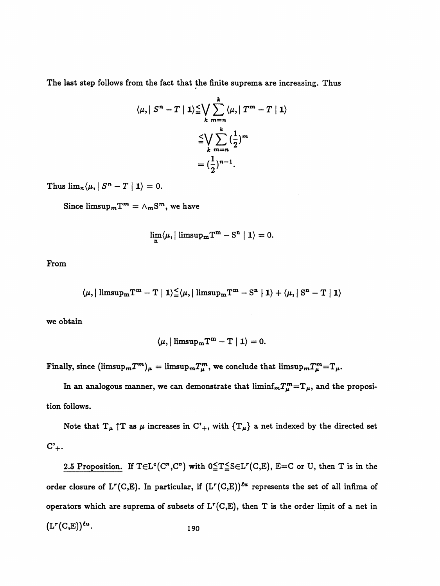The last step follows from the fact that the finite suprema are increasing. Thus

$$
\langle \mu, | S^n - T | 1 \rangle \leq \bigvee_{k} \sum_{m=n}^{k} \langle \mu, | T^m - T | 1 \rangle
$$
  

$$
\leq \bigvee_{k} \sum_{m=n}^{k} \left( \frac{1}{2} \right)^m
$$
  

$$
= \left( \frac{1}{2} \right)^{n-1}.
$$

Thus  $\lim_{n} \langle \mu, | S^n - T | 1 \rangle = 0.$ 

Since  $\limsup_m T^m = \wedge_m S^m$ , we have

$$
\lim_{\mathbf{n}}\langle\mu, \vert\ {\rm limsup}_{\mathbf{m}}\mathrm{T}^{\mathbf{m}}-\mathrm{S}^{\mathbf{n}}\mid \mathbf{1}\rangle=0.
$$

From

$$
\langle \mu, \mid \text{limsup}_\text{mT}^\text{m} - \text{T} \mid 1 \rangle \leqq \langle \mu, \mid \text{limsup}_\text{mT}^\text{m} - \text{S}^\text{n} \mid 1 \rangle + \langle \mu, \mid \text{S}^\text{n} - \text{T} \mid 1 \rangle
$$

we obtain

$$
\langle \mu, \vert \; \text{limsup}_\text{m} \text{T}^\text{m} - \text{T} \; \vert \; \textbf{1} \rangle = 0.
$$

Finally, since  $(\limsup_m T^m)_\mu = \limsup_m T^m_\mu$ , we conclude that  $\limsup_m T^m_\mu = T_\mu$ .

In an analogous manner, we can demonstrate that  $\liminf_m T_\mu^m = T_\mu$ , and the proposition follows.

Note that  $T_{\mu} \uparrow T$  as  $\mu$  increases in  $C'_{+}$ , with  $\{T_{\mu}\}\$  a net indexed by the directed set  $C'_{+}.$ 

2.5 Proposition. If  $T \in L^c(C^*, C^*)$  with  $0 \le T \le S \in L^r(C, E)$ ,  $E=C$  or U, then T is in the order closure of  $L^r(C, E)$ . In particular, if  $(L^r(C, E))^{\ell u}$  represents the set of all infima of operators which are suprema of subsets of  $L^r(C, E)$ , then T is the order limit of a net in  $(L^r(C,E))^{\ell u}$ . 190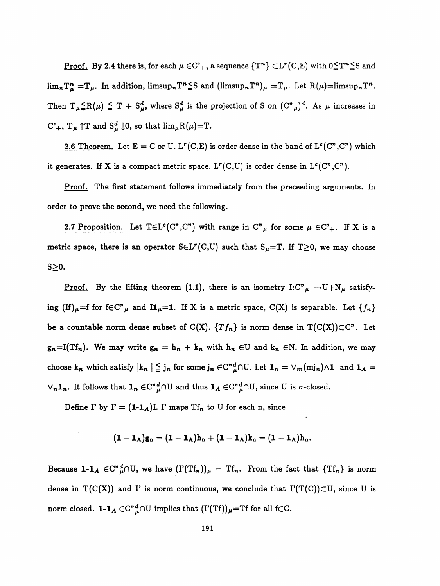<u>Proof.</u> By 2.4 there is, for each  $\mu \in C^1$ , a sequence  $\{T^n\} \subset L^r(C, E)$  with  $0 \leq T^n \leq S$  and  $\lim_{n}T_{\mu}^{n}=T_{\mu}$ . In addition,  $\lim_{n}T^{n}\leq S$  and  $(\lim_{n}T^{n})_{\mu}=T_{\mu}$ . Let  $R(\mu)=\lim_{n}T^{n}$ . Then  $T_{\mu}=R(\mu) \leq T + S_{\mu}^{d}$ , where  $S_{\mu}^{d}$  is the projection of S on  $(C_{\mu}^{n})^{d}$ . As  $\mu$  increases in C'<sub>+</sub>,  $T_{\mu}$  | T and  $S_{\mu}^{d}$  | 0, so that  $\lim_{\mu}R(\mu)=T$ .

2.6 Theorem. Let  $E = C$  or U. L<sup>r</sup>(C,E) is order dense in the band of L<sup>c</sup>(C<sup>n</sup>,C<sup>n</sup>) which it generates. If X is a compact metric space,  $L^r(C, U)$  is order dense in  $L^c(C^n, C^n)$ .

Proof. The first statement follows immediately from the preceeding arguments. In order to prove the second, we need the following.

2.7 Proposition. Let  $T \in L^c(C^n, C^n)$  with range in  $C^n\mu$  for some  $\mu \in C^1_+$ . If X is a metric space, there is an operator  $S \in L^r(C, U)$  such that  $S_\mu = T$ . If  $T \geq 0$ , we may choose  $S\geq 0$ .

<u>Proof.</u> By the lifting theorem (1.1), there is an isometry I:C" $\mu \rightarrow U+N\mu$  satisfying (If) $_{\mu}=f$  for f $\in$ C<sup>n</sup> $_{\mu}$  and I1 $_{\mu}=1$ . If X is a metric space, C(X) is separable. Let  ${f_n}$ be a countable norm dense subset of  $C(X)$ .  $\{Tf_n\}$  is norm dense in  $T(C(X))\subset C^n$ . Let  $g_n=I(Tf_n)$ . We may write  $g_n = h_n + k_n$  with  $h_n \in U$  and  $k_n \in N$ . In addition, we may choose k<sub>n</sub> which satisfy  $|k_n| \leq j_n$  for some  $j_n \in C^n_{\mu}^d \cap U$ . Let  $1_n = \vee_m (m j_n) \wedge 1$  and  $1_A =$  $\vee_n 1_n$ . It follows that  $1_n \in C^n{}_{\mu}^d \cap U$  and thus  $1_A \in C^n{}_{\mu}^d \cap U$ , since U is  $\sigma$ -closed.

Define I' by  $I' = (1-1_A)I$ . I' maps  $Tf_n$  to U for each n, since

$$
(\mathbf{1}-\mathbf{1}_{\mathbf{A}}) \mathbf{g}_n = (\mathbf{1}-\mathbf{1}_{\mathbf{A}}) \mathbf{h}_n + (\mathbf{1}-\mathbf{1}_{\mathbf{A}}) \mathbf{k}_n = (\mathbf{1}-\mathbf{1}_{\mathbf{A}}) \mathbf{h}_n.
$$

Because 1-1<sub>A</sub>  $\in C^{n} \mathcal{L} \cap U$ , we have  $(I'(Tf_n))_{\mu} = Tf_n$ . From the fact that  $\{Tf_n\}$  is norm dense in  $T(C(X))$  and I' is norm continuous, we conclude that  $\Gamma(T(C))\subset U$ , since U is norm closed.  $1-\mathbf{1}_A \in \mathbb{C}^n_{\mu}^d \cap U$  implies that  $(I'(Tf))_{\mu}=\mathbb{T}$ f for all f $\in \mathbb{C}$ .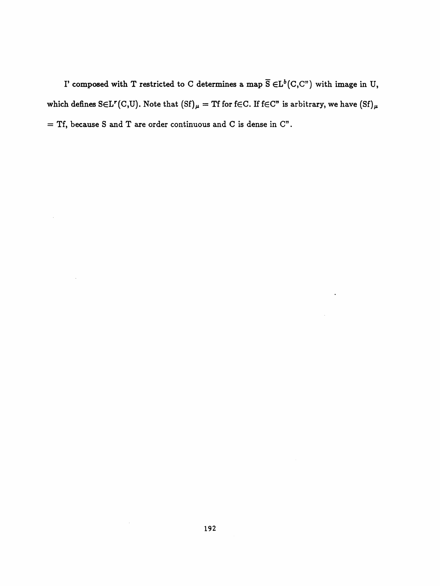I' composed with T restricted to C determines a map  $\overline{S} \in L^b(C, C^{\nu})$  with image in U, which defines S $\in$ L<sup>r</sup>(C,U). Note that  $(Sf)_{\mu}$  = Tf for f $\in$ C. If f $\in$ C" is arbitrary, we have  $(Sf)_{\mu}$ = Tf, because S and T are order continuous and C is dense in  $C$ ".

 $\ddot{\phantom{a}}$ 

 $\bar{z}$ 

 $\bar{z}$ 

 $\sim$